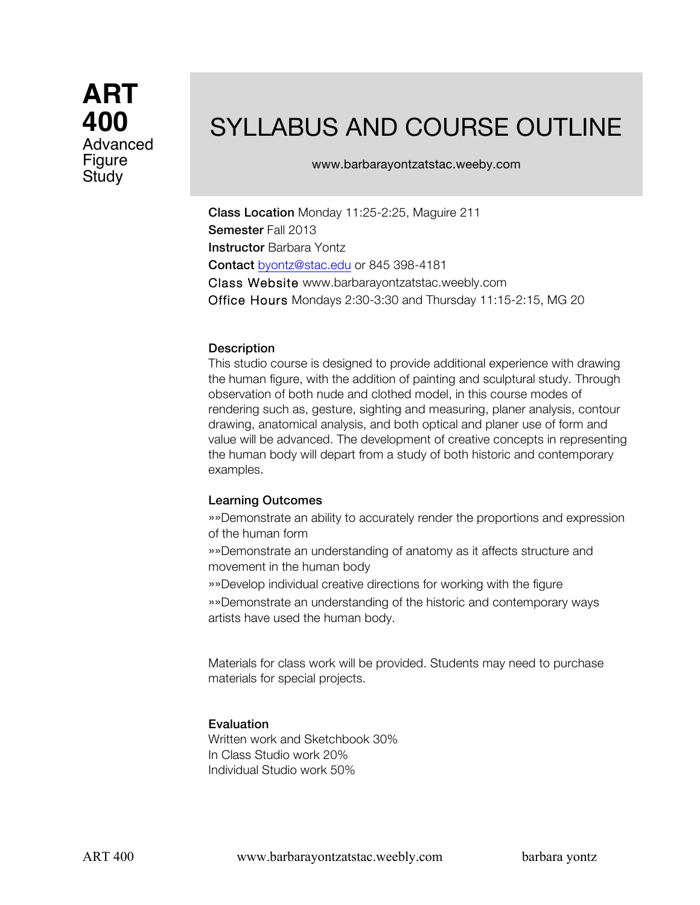**ART 400** Advanced Figure Study

# SYLLABUS AND COURSE OUTLINE

www.barbarayontzatstac.weeby.com

Class Location Monday 11:25-2:25, Maguire 211 Semester Fall 2013 Instructor Barbara Yontz Contact byontz@stac.edu or 845 398-4181 Class Website www.barbarayontzatstac.weebly.com Office Hours Mondays 2:30-3:30 and Thursday 11:15-2:15, MG 20

### **Description**

This studio course is designed to provide additional experience with drawing the human figure, with the addition of painting and sculptural study. Through observation of both nude and clothed model, in this course modes of rendering such as, gesture, sighting and measuring, planer analysis, contour drawing, anatomical analysis, and both optical and planer use of form and value will be advanced. The development of creative concepts in representing the human body will depart from a study of both historic and contemporary examples.

## Learning Outcomes

»»Demonstrate an ability to accurately render the proportions and expression of the human form

»»Demonstrate an understanding of anatomy as it affects structure and movement in the human body

»»Develop individual creative directions for working with the figure

»»Demonstrate an understanding of the historic and contemporary ways artists have used the human body.

Materials for class work will be provided. Students may need to purchase materials for special projects.

## Evaluation

Written work and Sketchbook 30% In Class Studio work 20% Individual Studio work 50%